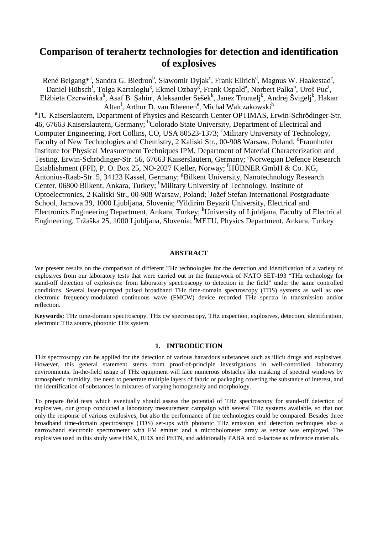# **Comparison of terahertz technologies for detection and identification of explosives**

René Beigang\*ª, Sandra G. Biedron<sup>b</sup>, Sławomir Dyjak<sup>c</sup>, Frank Ellrich<sup>d</sup>, Magnus W. Haakestad<sup>e</sup>, Daniel Hübsch<sup>f</sup>, Tolga Kartaloglu<sup>g</sup>, Ekmel Ozbay<sup>g</sup>, Frank Ospald<sup>a</sup>, Norbert Palka<sup>h</sup>, Uroš Puc<sup>i</sup>, Elżbieta Czerwińska<sup>h</sup>, Asaf B. Șahin<sup>j</sup>, Aleksander Sešek<sup>k</sup>, Janez Trontelj<sup>k</sup>, Andrej Švigelj<sup>k</sup>, Hakan Altan<sup>1</sup>, Arthur D. van Rheenen<sup>e</sup>, Michał Walczakowski<sup>h</sup>

<sup>a</sup>TU Kaiserslautern, Department of Physics and Research Center OPTIMAS, Erwin-Schrödinger-Str. 46, 67663 Kaiserslautern, Germany; <sup>b</sup>Colorado State University, Department of Electrical and Computer Engineering, Fort Collins, CO, USA 80523-1373; <sup>c</sup>Military University of Technology, Faculty of New Technologies and Chemistry, 2 Kaliski Str., 00-908 Warsaw, Poland; <sup>d</sup>Fraunhofer Institute for Physical Measurement Techniques IPM, Department of Material Characterization and Testing, Erwin-Schrödinger-Str. 56, 67663 Kaiserslautern, Germany; <sup>e</sup>Norwegian Defence Research Establishment (FFI), P. O. Box 25, NO-2027 Kjeller, Norway; <sup>f</sup>HÜBNER GmbH & Co. KG, Antonius-Raab-Str. 5, 34123 Kassel, Germany; <sup>g</sup>Bilkent University, Nanotechnology Research Center, 06800 Bilkent, Ankara, Turkey; <sup>h</sup>Military University of Technology, Institute of Optoelectronics, 2 Kaliski Str., 00-908 Warsaw, Poland; <sup>i</sup>Jožef Stefan International Postgraduate School, Jamova 39, 1000 Ljubljana, Slovenia; <sup>j</sup>Yildirim Beyazit University, Electrical and Electronics Engineering Department, Ankara, Turkey; KUniversity of Ljubljana, Faculty of Electrical Engineering, Tržaška 25, 1000 Ljubljana, Slovenia; <sup>I</sup>METU, Physics Department, Ankara, Turkey

# **ABSTRACT**

We present results on the comparison of different THz technologies for the detection and identification of a variety of explosives from our laboratory tests that were carried out in the framework of NATO SET-193 "THz technology for stand-off detection of explosives: from laboratory spectroscopy to detection in the field" under the same controlled conditions. Several laser-pumped pulsed broadband THz time-domain spectroscopy (TDS) systems as well as one electronic frequency-modulated continuous wave (FMCW) device recorded THz spectra in transmission and/or reflection.

**Keywords:** THz time-domain spectroscopy, THz cw spectroscopy, THz inspection, explosives, detection, identification, electronic THz source, photonic THz system

# **1. INTRODUCTION**

THz spectroscopy can be applied for the detection of various hazardous substances such as illicit drugs and explosives. However, this general statement stems from proof-of-principle investigations in well-controlled, laboratory environments. In-the-field usage of THz equipment will face numerous obstacles like masking of spectral windows by atmospheric humidity, the need to penetrate multiple layers of fabric or packaging covering the substance of interest, and the identification of substances in mixtures of varying homogeneity and morphology.

To prepare field tests which eventually should assess the potential of THz spectroscopy for stand-off detection of explosives, our group conducted a laboratory measurement campaign with several THz systems available, so that not only the response of various explosives, but also the performance of the technologies could be compared. Besides three broadband time-domain spectroscopy (TDS) set-ups with photonic THz emission and detection techniques also a narrowband electronic spectrometer with FM emitter and a microbolometer array as sensor was employed. The explosives used in this study were HMX, RDX and PETN, and additionally PABA and α-lactose as reference materials.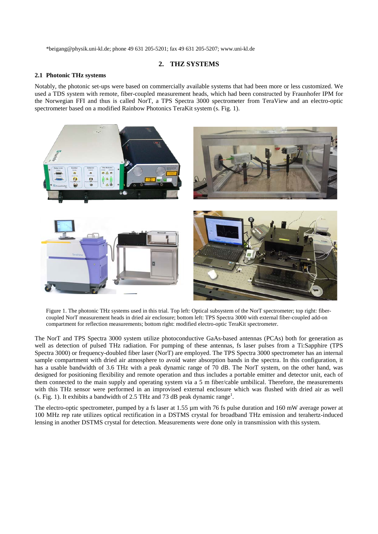\*beigang@physik.uni-kl.de; phone 49 631 205-5201; fax 49 631 205-5207; www.uni-kl.de

## **2. THZ SYSTEMS**

#### **2.1 Photonic THz systems**

Notably, the photonic set-ups were based on commercially available systems that had been more or less customized. We used a TDS system with remote, fiber-coupled measurement heads, which had been constructed by Fraunhofer IPM for the Norwegian FFI and thus is called NorT, a TPS Spectra 3000 spectrometer from TeraView and an electro-optic spectrometer based on a modified Rainbow Photonics TeraKit system (s. Fig. 1).



Figure 1. The photonic THz systems used in this trial. Top left: Optical subsystem of the NorT spectrometer; top right: fibercoupled NorT measurement heads in dried air enclosure; bottom left: TPS Spectra 3000 with external fiber-coupled add-on compartment for reflection measurements; bottom right: modified electro-optic TeraKit spectrometer.

The NorT and TPS Spectra 3000 system utilize photoconductive GaAs-based antennas (PCAs) both for generation as well as detection of pulsed THz radiation. For pumping of these antennas, fs laser pulses from a Ti:Sapphire (TPS Spectra 3000) or frequency-doubled fiber laser (NorT) are employed. The TPS Spectra 3000 spectrometer has an internal sample compartment with dried air atmosphere to avoid water absorption bands in the spectra. In this configuration, it has a usable bandwidth of 3.6 THz with a peak dynamic range of 70 dB. The NorT system, on the other hand, was designed for positioning flexibility and remote operation and thus includes a portable emitter and detector unit, each of them connected to the main supply and operating system via a 5 m fiber/cable umbilical. Therefore, the measurements with this THz sensor were performed in an improvised external enclosure which was flushed with dried air as well (s. Fig. 1). It exhibits a bandwidth of 2.5 THz and 73 dB peak dynamic range<sup>1</sup>.

The electro-optic spectrometer, pumped by a fs laser at 1.55 µm with 76 fs pulse duration and 160 mW average power at 100 MHz rep rate utilizes optical rectification in a DSTMS crystal for broadband THz emission and terahertz-induced lensing in another DSTMS crystal for detection. Measurements were done only in transmission with this system.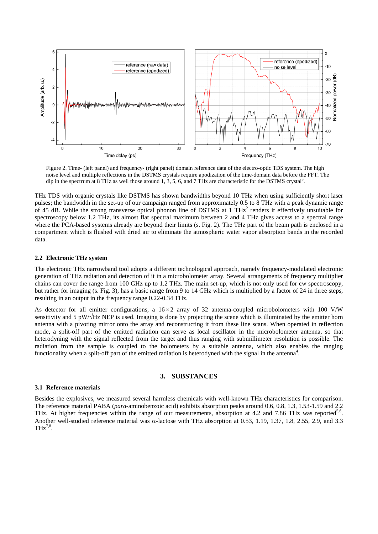

Figure 2. Time- (left panel) and frequency- (right panel) domain reference data of the electro-optic TDS system. The high noise level and multiple reflections in the DSTMS crystals require apodization of the time-domain data before the FFT. The dip in the spectrum at 8 THz as well those around 1, 3, 5, 6, and 7 THz are characteristic for the DSTMS crystal<sup>3</sup>.

THz TDS with organic crystals like DSTMS has shown bandwidths beyond 10 THz when using sufficiently short laser pulses; the bandwidth in the set-up of our campaign ranged from approximately 0.5 to 8 THz with a peak dynamic range of 45 dB. While the strong transverse optical phonon line of DSTMS at 1 THz<sup>2</sup> renders it effectively unsuitable for spectroscopy below 1.2 THz, its almost flat spectral maximum between 2 and 4 THz gives access to a spectral range where the PCA-based systems already are beyond their limits (s. Fig. 2). The THz part of the beam path is enclosed in a compartment which is flushed with dried air to eliminate the atmospheric water vapor absorption bands in the recorded data.

#### **2.2 Electronic THz system**

The electronic THz narrowband tool adopts a different technological approach, namely frequency-modulated electronic generation of THz radiation and detection of it in a microbolometer array. Several arrangements of frequency multiplier chains can cover the range from 100 GHz up to 1.2 THz. The main set-up, which is not only used for cw spectroscopy, but rather for imaging (s. Fig. 3), has a basic range from 9 to 14 GHz which is multiplied by a factor of 24 in three steps, resulting in an output in the frequency range 0.22-0.34 THz.

As detector for all emitter configurations, a  $16 \times 2$  array of 32 antenna-coupled microbolometers with 100 V/W sensitivity and 5 pW/ $\sqrt{Hz}$  NEP is used. Imaging is done by projecting the scene which is illuminated by the emitter horn antenna with a pivoting mirror onto the array and reconstructing it from these line scans. When operated in reflection mode, a split-off part of the emitted radiation can serve as local oscillator in the microbolometer antenna, so that heterodyning with the signal reflected from the target and thus ranging with submillimeter resolution is possible. The radiation from the sample is coupled to the bolometers by a suitable antenna, which also enables the ranging functionality when a split-off part of the emitted radiation is heterodyned with the signal in the antenna<sup>4</sup>.

# **3. SUBSTANCES**

#### **3.1 Reference materials**

Besides the explosives, we measured several harmless chemicals with well-known THz characteristics for comparison. The reference material PABA (*para*-aminobenzoic acid) exhibits absorption peaks around 0.6, 0.8, 1.3, 1.53-1.59 and 2.2 THz. At higher frequencies within the range of our measurements, absorption at 4.2 and 7.86 THz was reported<sup>5,6</sup>. Another well-studied reference material was  $\alpha$ -lactose with THz absorption at 0.53, 1.19, 1.37, 1.8, 2.55, 2.9, and 3.3  $THz^{7,8}$ .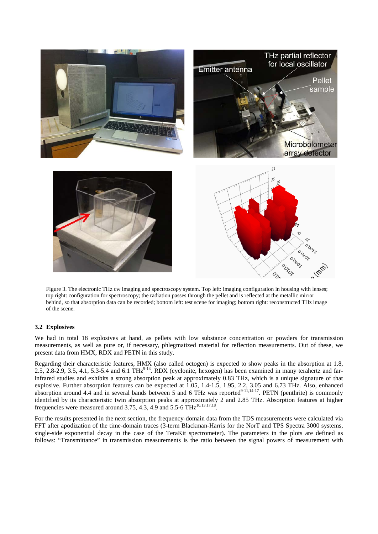

Figure 3. The electronic THz cw imaging and spectroscopy system. Top left: imaging configuration in housing with lenses; top right: configuration for spectroscopy; the radiation passes through the pellet and is reflected at the metallic mirror behind, so that absorption data can be recorded; bottom left: test scene for imaging; bottom right: reconstructed THz image of the scene.

# **3.2 Explosives**

We had in total 18 explosives at hand, as pellets with low substance concentration or powders for transmission measurements, as well as pure or, if necessary, phlegmatized material for reflection measurements. Out of these, we present data from HMX, RDX and PETN in this study.

Regarding their characteristic features, HMX (also called octogen) is expected to show peaks in the absorption at 1.8, 2.5, 2.8-2.9, 3.5, 4.1, 5.3-5.4 and 6.1 TH $z^{9-13}$ . RDX (cyclonite, hexogen) has been examined in many terahertz and farinfrared studies and exhibits a strong absorption peak at approximately 0.83 THz, which is a unique signature of that explosive. Further absorption features can be expected at 1.05, 1.4-1.5, 1.95, 2.2, 3.05 and 6.73 THz. Also, enhanced absorption around 4.4 and in several bands between 5 and 6 THz was reported $9-11,14-17$ . PETN (penthrite) is commonly identified by its characteristic twin absorption peaks at approximately 2 and 2.85 THz. Absorption features at higher frequencies were measured around 3.75, 4.3, 4.9 and 5.5-6 THz<sup>10,13,17,18</sup>

For the results presented in the next section, the frequency-domain data from the TDS measurements were calculated via FFT after apodization of the time-domain traces (3-term Blackman-Harris for the NorT and TPS Spectra 3000 systems, single-side exponential decay in the case of the TeraKit spectrometer). The parameters in the plots are defined as follows: "Transmittance" in transmission measurements is the ratio between the signal powers of measurement with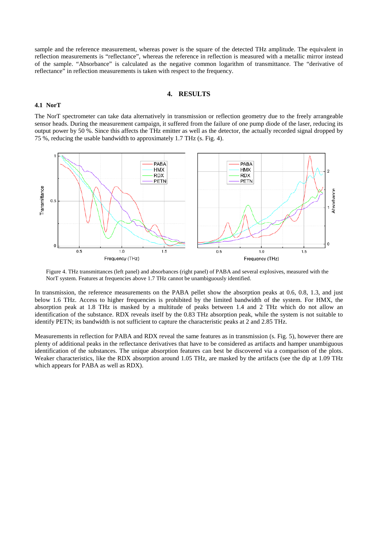sample and the reference measurement, whereas power is the square of the detected THz amplitude. The equivalent in reflection measurements is "reflectance", whereas the reference in reflection is measured with a metallic mirror instead of the sample. "Absorbance" is calculated as the negative common logarithm of transmittance. The "derivative of reflectance" in reflection measurements is taken with respect to the frequency.

#### **4. RESULTS**

#### **4.1 NorT**

The NorT spectrometer can take data alternatively in transmission or reflection geometry due to the freely arrangeable sensor heads. During the measurement campaign, it suffered from the failure of one pump diode of the laser, reducing its output power by 50 %. Since this affects the THz emitter as well as the detector, the actually recorded signal dropped by 75 %, reducing the usable bandwidth to approximately 1.7 THz (s. Fig. 4).



Figure 4. THz transmittances (left panel) and absorbances (right panel) of PABA and several explosives, measured with the NorT system. Features at frequencies above 1.7 THz cannot be unambiguously identified.

In transmission, the reference measurements on the PABA pellet show the absorption peaks at 0.6, 0.8, 1.3, and just below 1.6 THz. Access to higher frequencies is prohibited by the limited bandwidth of the system. For HMX, the absorption peak at 1.8 THz is masked by a multitude of peaks between 1.4 and 2 THz which do not allow an identification of the substance. RDX reveals itself by the 0.83 THz absorption peak, while the system is not suitable to identify PETN; its bandwidth is not sufficient to capture the characteristic peaks at 2 and 2.85 THz.

Measurements in reflection for PABA and RDX reveal the same features as in transmission (s. Fig. 5), however there are plenty of additional peaks in the reflectance derivatives that have to be considered as artifacts and hamper unambiguous identification of the substances. The unique absorption features can best be discovered via a comparison of the plots. Weaker characteristics, like the RDX absorption around 1.05 THz, are masked by the artifacts (see the dip at 1.09 THz which appears for PABA as well as RDX).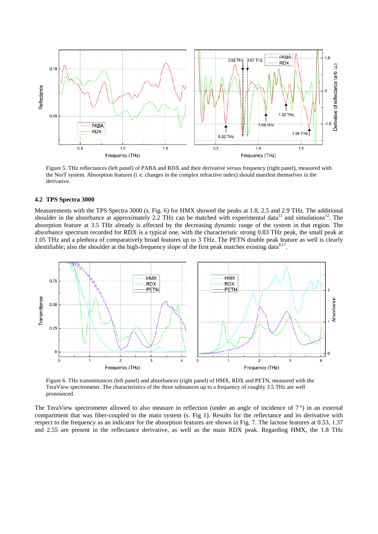

Figure 5. THz reflectances (left panel) of PABA and RDX and their derivative versus frequency (right panel), measured with the NorT system. Absorption features (i. e. changes in the complex refractive index) should manifest themselves in the derivative.

## **4.2 TPS Spectra 3000**

Measurements with the TPS Spectra 3000 (s. Fig. 6) for HMX showed the peaks at 1.8, 2.5 and 2.9 THz. The additional shoulder in the absorbance at approximately 2.2 THz can be matched with experimental data<sup>11</sup> and simulations<sup>12</sup>. The absorption feature at 3.5 THz already is affected by the decreasing dynamic range of the system in that region. The absorbance spectrum recorded for RDX is a typical one, with the characteristic strong 0.83 THz peak, the small peak at 1.05 THz and a plethora of comparatively broad features up to 3 THz. The PETN double peak feature as well is clearly identifiable; also the shoulder at the high-frequency slope of the first peak matches existing data<sup>9,17</sup>.



Figure 6. THz transmittances (left panel) and absorbances (right panel) of HMX, RDX and PETN, measured with the TeraView spectrometer. The characteristics of the three substances up to a frequency of roughly 3.5 THz are well pronounced.

The TeraView spectrometer allowed to also measure in reflection (under an angle of incidence of  $7^{\circ}$ ) in an external compartment that was fiber-coupled to the main system (s. Fig 1). Results for the reflectance and its derivative with respect to the frequency as an indicator for the absorption features are shown in Fig. 7. The lactose features at 0.53, 1.37 and 2.55 are present in the reflectance derivative, as well as the main RDX peak. Regarding HMX, the 1.8 THz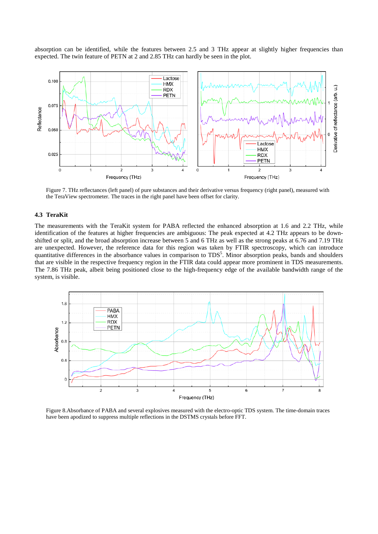absorption can be identified, while the features between 2.5 and 3 THz appear at slightly higher frequencies than expected. The twin feature of PETN at 2 and 2.85 THz can hardly be seen in the plot.



Figure 7. THz reflectances (left panel) of pure substances and their derivative versus frequency (right panel), measured with the TeraView spectrometer. The traces in the right panel have been offset for clarity.

#### **4.3 TeraKit**

The measurements with the TeraKit system for PABA reflected the enhanced absorption at 1.6 and 2.2 THz, while identification of the features at higher frequencies are ambiguous: The peak expected at 4.2 THz appears to be downshifted or split, and the broad absorption increase between 5 and 6 THz as well as the strong peaks at 6.76 and 7.19 THz are unexpected. However, the reference data for this region was taken by FTIR spectroscopy, which can introduce quantitative differences in the absorbance values in comparison to TDS<sup>5</sup>. Minor absorption peaks, bands and shoulders that are visible in the respective frequency region in the FTIR data could appear more prominent in TDS measurements. The 7.86 THz peak, albeit being positioned close to the high-frequency edge of the available bandwidth range of the system, is visible.



Figure 8.Absorbance of PABA and several explosives measured with the electro-optic TDS system. The time-domain traces have been apodized to suppress multiple reflections in the DSTMS crystals before FFT.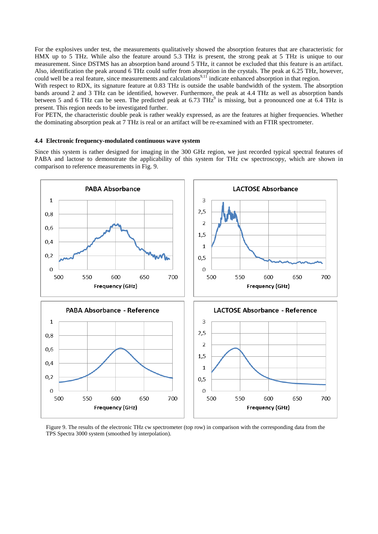For the explosives under test, the measurements qualitatively showed the absorption features that are characteristic for HMX up to 5 THz. While also the feature around 5.3 THz is present, the strong peak at 5 THz is unique to our measurement. Since DSTMS has an absorption band around 5 THz, it cannot be excluded that this feature is an artifact. Also, identification the peak around 6 THz could suffer from absorption in the crystals. The peak at 6.25 THz, however, could well be a real feature, since measurements and calculations<sup>9,11</sup> indicate enhanced absorption in that region.

With respect to RDX, its signature feature at 0.83 THz is outside the usable bandwidth of the system. The absorption bands around 2 and 3 THz can be identified, however. Furthermore, the peak at 4.4 THz as well as absorption bands between 5 and 6 THz can be seen. The predicted peak at  $6.73$  THz $^9$  is missing, but a pronounced one at  $6.4$  THz is present. This region needs to be investigated further.

For PETN, the characteristic double peak is rather weakly expressed, as are the features at higher frequencies. Whether the dominating absorption peak at 7 THz is real or an artifact will be re-examined with an FTIR spectrometer.

# **4.4 Electronic frequency-modulated continuous wave system**

Since this system is rather designed for imaging in the 300 GHz region, we just recorded typical spectral features of PABA and lactose to demonstrate the applicability of this system for THz cw spectroscopy, which are shown in comparison to reference measurements in Fig. 9.



Figure 9. The results of the electronic THz cw spectrometer (top row) in comparison with the corresponding data from the TPS Spectra 3000 system (smoothed by interpolation).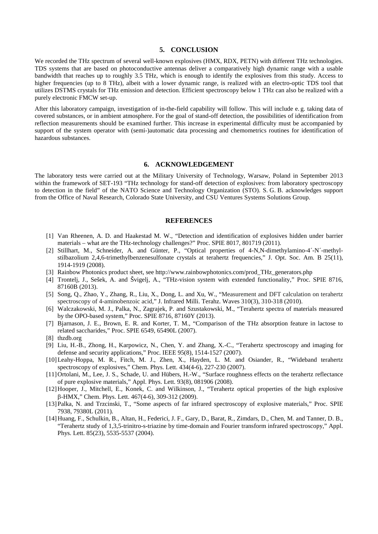## **5. CONCLUSION**

We recorded the THz spectrum of several well-known explosives (HMX, RDX, PETN) with different THz technologies. TDS systems that are based on photoconductive antennas deliver a comparatively high dynamic range with a usable bandwidth that reaches up to roughly 3.5 THz, which is enough to identify the explosives from this study. Access to higher frequencies (up to 8 THz), albeit with a lower dynamic range, is realized with an electro-optic TDS tool that utilizes DSTMS crystals for THz emission and detection. Efficient spectroscopy below 1 THz can also be realized with a purely electronic FMCW set-up.

After this laboratory campaign, investigation of in-the-field capability will follow. This will include e. g. taking data of covered substances, or in ambient atmosphere. For the goal of stand-off detection, the possibilities of identification from reflection measurements should be examined further. This increase in experimental difficulty must be accompanied by support of the system operator with (semi-)automatic data processing and chemometrics routines for identification of hazardous substances.

# **6. ACKNOWLEDGEMENT**

The laboratory tests were carried out at the Military University of Technology, Warsaw, Poland in September 2013 within the framework of SET-193 "THz technology for stand-off detection of explosives: from laboratory spectroscopy to detection in the field" of the NATO Science and Technology Organization (STO). S. G. B. acknowledges support from the Office of Naval Research, Colorado State University, and CSU Ventures Systems Solutions Group.

## **REFERENCES**

- [1] Van Rheenen, A. D. and Haakestad M. W., "Detection and identification of explosives hidden under barrier materials – what are the THz-technology challenges?" Proc. SPIE 8017, 801719 (2011).
- [2] Stillhart, M., Schneider, A. and Günter, P., "Optical properties of 4-N,N-dimethylamino-4´-N´-methylstilbazolium 2,4,6-trimethylbenzenesulfonate crystals at terahertz frequencies," J. Opt. Soc. Am. B 25(11), 1914-1919 (2008).
- [3] Rainbow Photonics product sheet, see http://www.rainbowphotonics.com/prod\_THz\_generators.php
- [4] Trontelj, J., Sešek, A. and Švigelj, A., "THz-vision system with extended functionality," Proc. SPIE 8716, 87160B (2013).
- [5] Song, Q., Zhao, Y., Zhang, R., Liu, X., Dong, L. and Xu, W., "Measurement and DFT calculation on terahertz spectroscopy of 4-aminobenzoic acid," J. Infrared Milli. Terahz. Waves 310(3), 310-318 (2010).
- [6] Walczakowski, M. J., Palka, N., Zagrajek, P. and Szustakowski, M., "Terahertz spectra of materials measured by the OPO-based system," Proc. SPIE 8716, 87160Y (2013).
- [7] Bjarnason, J. E., Brown, E. R. and Korter, T. M., "Comparison of the THz absorption feature in lactose to related saccharides," Proc. SPIE 6549, 65490L (2007).
- [8] thzdb.org
- [9] Liu, H.-B., Zhong, H., Karpowicz, N., Chen, Y. and Zhang, X.-C., "Terahertz spectroscopy and imaging for defense and security applications," Proc. IEEE 95(8), 1514-1527 (2007).
- [10]Leahy-Hoppa, M. R., Fitch, M. J., Zhen, X., Hayden, L. M. and Osiander, R., "Wideband terahertz spectroscopy of explosives," Chem. Phys. Lett. 434(4-6), 227-230 (2007).
- [11]Ortolani, M., Lee, J. S., Schade, U. and Hübers, H.-W., "Surface roughness effects on the terahertz reflectance of pure explosive materials," Appl. Phys. Lett. 93(8), 081906 (2008).
- [12]Hooper, J., Mitchell, E., Konek, C. and Wilkinson, J., "Terahertz optical properties of the high explosive β-HMX," Chem. Phys. Lett. 467(4-6), 309-312 (2009).
- [13]Palka, N. and Trzcinski, T., "Some aspects of far infrared spectroscopy of explosive materials," Proc. SPIE 7938, 79380L (2011).
- [14]Huang, F., Schulkin, B., Altan, H., Federici, J. F., Gary, D., Barat, R., Zimdars, D., Chen, M. and Tanner, D. B., "Terahertz study of 1,3,5-trinitro-s-triazine by time-domain and Fourier transform infrared spectroscopy," Appl. Phys. Lett. 85(23), 5535-5537 (2004).